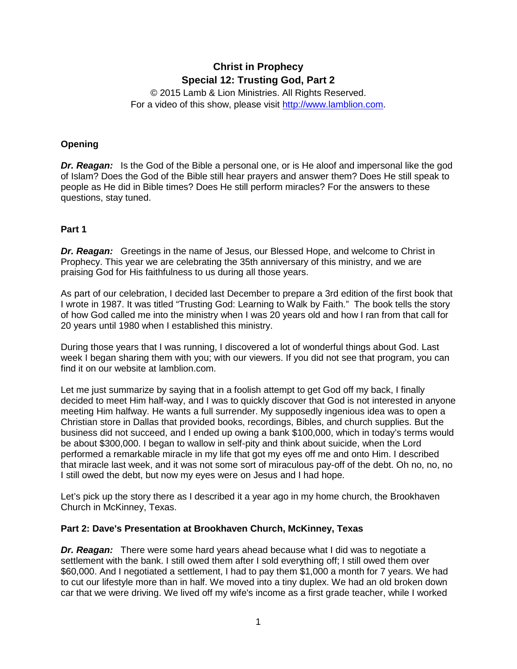# **Christ in Prophecy Special 12: Trusting God, Part 2**

© 2015 Lamb & Lion Ministries. All Rights Reserved. For a video of this show, please visit [http://www.lamblion.com.](http://www.lamblion.com/)

### **Opening**

*Dr. Reagan:* Is the God of the Bible a personal one, or is He aloof and impersonal like the god of Islam? Does the God of the Bible still hear prayers and answer them? Does He still speak to people as He did in Bible times? Does He still perform miracles? For the answers to these questions, stay tuned.

#### **Part 1**

**Dr. Reagan:** Greetings in the name of Jesus, our Blessed Hope, and welcome to Christ in Prophecy. This year we are celebrating the 35th anniversary of this ministry, and we are praising God for His faithfulness to us during all those years.

As part of our celebration, I decided last December to prepare a 3rd edition of the first book that I wrote in 1987. It was titled "Trusting God: Learning to Walk by Faith." The book tells the story of how God called me into the ministry when I was 20 years old and how I ran from that call for 20 years until 1980 when I established this ministry.

During those years that I was running, I discovered a lot of wonderful things about God. Last week I began sharing them with you; with our viewers. If you did not see that program, you can find it on our website at lamblion.com.

Let me just summarize by saying that in a foolish attempt to get God off my back, I finally decided to meet Him half-way, and I was to quickly discover that God is not interested in anyone meeting Him halfway. He wants a full surrender. My supposedly ingenious idea was to open a Christian store in Dallas that provided books, recordings, Bibles, and church supplies. But the business did not succeed, and I ended up owing a bank \$100,000, which in today's terms would be about \$300,000. I began to wallow in self-pity and think about suicide, when the Lord performed a remarkable miracle in my life that got my eyes off me and onto Him. I described that miracle last week, and it was not some sort of miraculous pay-off of the debt. Oh no, no, no I still owed the debt, but now my eyes were on Jesus and I had hope.

Let's pick up the story there as I described it a year ago in my home church, the Brookhaven Church in McKinney, Texas.

#### **Part 2: Dave's Presentation at Brookhaven Church, McKinney, Texas**

*Dr. Reagan:* There were some hard years ahead because what I did was to negotiate a settlement with the bank. I still owed them after I sold everything off; I still owed them over \$60,000. And I negotiated a settlement, I had to pay them \$1,000 a month for 7 years. We had to cut our lifestyle more than in half. We moved into a tiny duplex. We had an old broken down car that we were driving. We lived off my wife's income as a first grade teacher, while I worked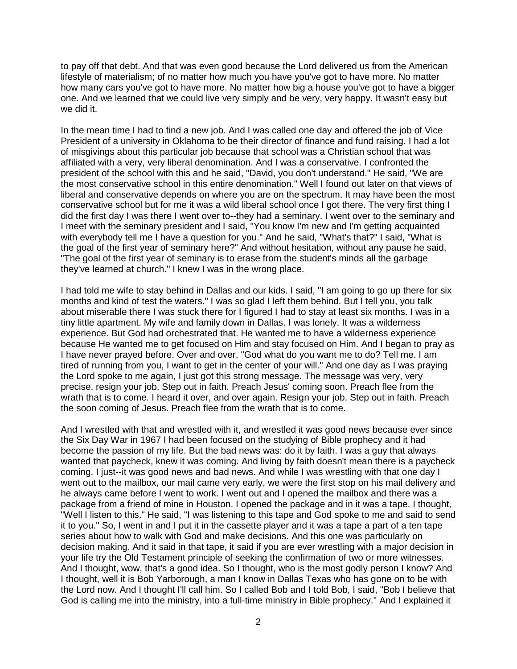to pay off that debt. And that was even good because the Lord delivered us from the American lifestyle of materialism; of no matter how much you have you've got to have more. No matter how many cars you've got to have more. No matter how big a house you've got to have a bigger one. And we learned that we could live very simply and be very, very happy. It wasn't easy but we did it.

In the mean time I had to find a new job. And I was called one day and offered the job of Vice President of a university in Oklahoma to be their director of finance and fund raising. I had a lot of misgivings about this particular job because that school was a Christian school that was affiliated with a very, very liberal denomination. And I was a conservative. I confronted the president of the school with this and he said, "David, you don't understand." He said, "We are the most conservative school in this entire denomination." Well I found out later on that views of liberal and conservative depends on where you are on the spectrum. It may have been the most conservative school but for me it was a wild liberal school once I got there. The very first thing I did the first day I was there I went over to--they had a seminary. I went over to the seminary and I meet with the seminary president and I said, "You know I'm new and I'm getting acquainted with everybody tell me I have a question for you." And he said, "What's that?" I said, "What is the goal of the first year of seminary here?" And without hesitation, without any pause he said, "The goal of the first year of seminary is to erase from the student's minds all the garbage they've learned at church." I knew I was in the wrong place.

I had told me wife to stay behind in Dallas and our kids. I said, "I am going to go up there for six months and kind of test the waters." I was so glad I left them behind. But I tell you, you talk about miserable there I was stuck there for I figured I had to stay at least six months. I was in a tiny little apartment. My wife and family down in Dallas. I was lonely. It was a wilderness experience. But God had orchestrated that. He wanted me to have a wilderness experience because He wanted me to get focused on Him and stay focused on Him. And I began to pray as I have never prayed before. Over and over, "God what do you want me to do? Tell me. I am tired of running from you, I want to get in the center of your will." And one day as I was praying the Lord spoke to me again, I just got this strong message. The message was very, very precise, resign your job. Step out in faith. Preach Jesus' coming soon. Preach flee from the wrath that is to come. I heard it over, and over again. Resign your job. Step out in faith. Preach the soon coming of Jesus. Preach flee from the wrath that is to come.

And I wrestled with that and wrestled with it, and wrestled it was good news because ever since the Six Day War in 1967 I had been focused on the studying of Bible prophecy and it had become the passion of my life. But the bad news was: do it by faith. I was a guy that always wanted that paycheck, knew it was coming. And living by faith doesn't mean there is a paycheck coming. I just--it was good news and bad news. And while I was wrestling with that one day I went out to the mailbox, our mail came very early, we were the first stop on his mail delivery and he always came before I went to work. I went out and I opened the mailbox and there was a package from a friend of mine in Houston. I opened the package and in it was a tape. I thought, "Well I listen to this." He said, "I was listening to this tape and God spoke to me and said to send it to you." So, I went in and I put it in the cassette player and it was a tape a part of a ten tape series about how to walk with God and make decisions. And this one was particularly on decision making. And it said in that tape, it said if you are ever wrestling with a major decision in your life try the Old Testament principle of seeking the confirmation of two or more witnesses. And I thought, wow, that's a good idea. So I thought, who is the most godly person I know? And I thought, well it is Bob Yarborough, a man I know in Dallas Texas who has gone on to be with the Lord now. And I thought I'll call him. So I called Bob and I told Bob, I said, "Bob I believe that God is calling me into the ministry, into a full-time ministry in Bible prophecy." And I explained it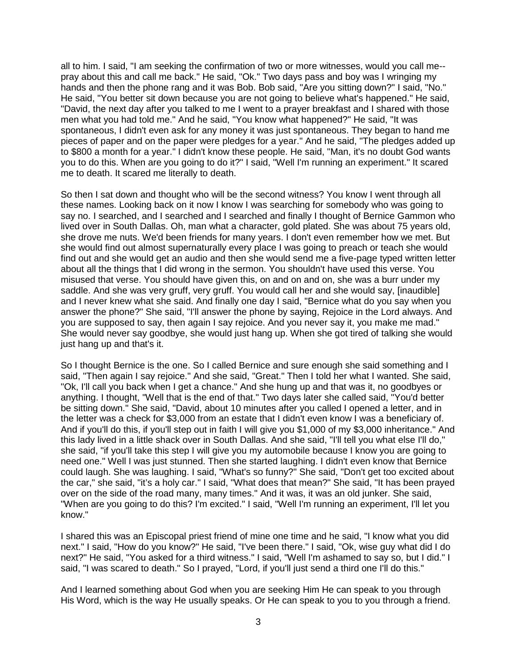all to him. I said, "I am seeking the confirmation of two or more witnesses, would you call me- pray about this and call me back." He said, "Ok." Two days pass and boy was I wringing my hands and then the phone rang and it was Bob. Bob said, "Are you sitting down?" I said, "No." He said, "You better sit down because you are not going to believe what's happened." He said, "David, the next day after you talked to me I went to a prayer breakfast and I shared with those men what you had told me." And he said, "You know what happened?" He said, "It was spontaneous, I didn't even ask for any money it was just spontaneous. They began to hand me pieces of paper and on the paper were pledges for a year." And he said, "The pledges added up to \$800 a month for a year." I didn't know these people. He said, "Man, it's no doubt God wants you to do this. When are you going to do it?" I said, "Well I'm running an experiment." It scared me to death. It scared me literally to death.

So then I sat down and thought who will be the second witness? You know I went through all these names. Looking back on it now I know I was searching for somebody who was going to say no. I searched, and I searched and I searched and finally I thought of Bernice Gammon who lived over in South Dallas. Oh, man what a character, gold plated. She was about 75 years old, she drove me nuts. We'd been friends for many years. I don't even remember how we met. But she would find out almost supernaturally every place I was going to preach or teach she would find out and she would get an audio and then she would send me a five-page typed written letter about all the things that I did wrong in the sermon. You shouldn't have used this verse. You misused that verse. You should have given this, on and on and on, she was a burr under my saddle. And she was very gruff, very gruff. You would call her and she would say, [inaudible] and I never knew what she said. And finally one day I said, "Bernice what do you say when you answer the phone?" She said, "I'll answer the phone by saying, Rejoice in the Lord always. And you are supposed to say, then again I say rejoice. And you never say it, you make me mad." She would never say goodbye, she would just hang up. When she got tired of talking she would just hang up and that's it.

So I thought Bernice is the one. So I called Bernice and sure enough she said something and I said, "Then again I say rejoice." And she said, "Great." Then I told her what I wanted. She said, "Ok, I'll call you back when I get a chance." And she hung up and that was it, no goodbyes or anything. I thought, "Well that is the end of that." Two days later she called said, "You'd better be sitting down." She said, "David, about 10 minutes after you called I opened a letter, and in the letter was a check for \$3,000 from an estate that I didn't even know I was a beneficiary of. And if you'll do this, if you'll step out in faith I will give you \$1,000 of my \$3,000 inheritance." And this lady lived in a little shack over in South Dallas. And she said, "I'll tell you what else I'll do," she said, "if you'll take this step I will give you my automobile because I know you are going to need one." Well I was just stunned. Then she started laughing. I didn't even know that Bernice could laugh. She was laughing. I said, "What's so funny?" She said, "Don't get too excited about the car," she said, "it's a holy car." I said, "What does that mean?" She said, "It has been prayed over on the side of the road many, many times." And it was, it was an old junker. She said, "When are you going to do this? I'm excited." I said, "Well I'm running an experiment, I'll let you know."

I shared this was an Episcopal priest friend of mine one time and he said, "I know what you did next." I said, "How do you know?" He said, "I've been there." I said, "Ok, wise guy what did I do next?" He said, "You asked for a third witness." I said, "Well I'm ashamed to say so, but I did." I said, "I was scared to death." So I prayed, "Lord, if you'll just send a third one I'll do this."

And I learned something about God when you are seeking Him He can speak to you through His Word, which is the way He usually speaks. Or He can speak to you to you through a friend.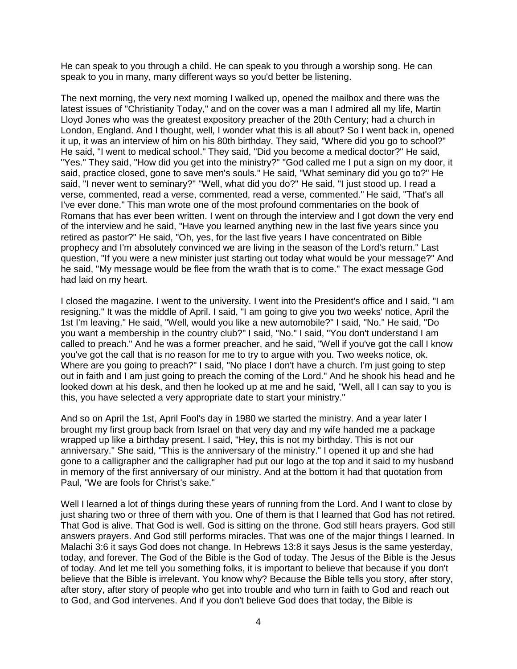He can speak to you through a child. He can speak to you through a worship song. He can speak to you in many, many different ways so you'd better be listening.

The next morning, the very next morning I walked up, opened the mailbox and there was the latest issues of "Christianity Today," and on the cover was a man I admired all my life, Martin Lloyd Jones who was the greatest expository preacher of the 20th Century; had a church in London, England. And I thought, well, I wonder what this is all about? So I went back in, opened it up, it was an interview of him on his 80th birthday. They said, "Where did you go to school?" He said, "I went to medical school." They said, "Did you become a medical doctor?" He said, "Yes." They said, "How did you get into the ministry?" "God called me I put a sign on my door, it said, practice closed, gone to save men's souls." He said, "What seminary did you go to?" He said, "I never went to seminary?" "Well, what did you do?" He said, "I just stood up. I read a verse, commented, read a verse, commented, read a verse, commented." He said, "That's all I've ever done." This man wrote one of the most profound commentaries on the book of Romans that has ever been written. I went on through the interview and I got down the very end of the interview and he said, "Have you learned anything new in the last five years since you retired as pastor?" He said, "Oh, yes, for the last five years I have concentrated on Bible prophecy and I'm absolutely convinced we are living in the season of the Lord's return." Last question, "If you were a new minister just starting out today what would be your message?" And he said, "My message would be flee from the wrath that is to come." The exact message God had laid on my heart.

I closed the magazine. I went to the university. I went into the President's office and I said, "I am resigning." It was the middle of April. I said, "I am going to give you two weeks' notice, April the 1st I'm leaving." He said, "Well, would you like a new automobile?" I said, "No." He said, "Do you want a membership in the country club?" I said, "No." I said, "You don't understand I am called to preach." And he was a former preacher, and he said, "Well if you've got the call I know you've got the call that is no reason for me to try to argue with you. Two weeks notice, ok. Where are you going to preach?" I said, "No place I don't have a church. I'm just going to step out in faith and I am just going to preach the coming of the Lord." And he shook his head and he looked down at his desk, and then he looked up at me and he said, "Well, all I can say to you is this, you have selected a very appropriate date to start your ministry."

And so on April the 1st, April Fool's day in 1980 we started the ministry. And a year later I brought my first group back from Israel on that very day and my wife handed me a package wrapped up like a birthday present. I said, "Hey, this is not my birthday. This is not our anniversary." She said, "This is the anniversary of the ministry." I opened it up and she had gone to a calligrapher and the calligrapher had put our logo at the top and it said to my husband in memory of the first anniversary of our ministry. And at the bottom it had that quotation from Paul, "We are fools for Christ's sake."

Well I learned a lot of things during these years of running from the Lord. And I want to close by just sharing two or three of them with you. One of them is that I learned that God has not retired. That God is alive. That God is well. God is sitting on the throne. God still hears prayers. God still answers prayers. And God still performs miracles. That was one of the major things I learned. In Malachi 3:6 it says God does not change. In Hebrews 13:8 it says Jesus is the same yesterday, today, and forever. The God of the Bible is the God of today. The Jesus of the Bible is the Jesus of today. And let me tell you something folks, it is important to believe that because if you don't believe that the Bible is irrelevant. You know why? Because the Bible tells you story, after story, after story, after story of people who get into trouble and who turn in faith to God and reach out to God, and God intervenes. And if you don't believe God does that today, the Bible is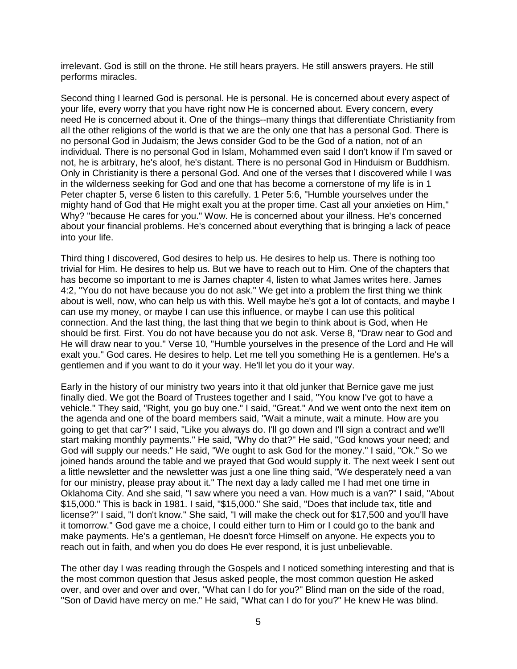irrelevant. God is still on the throne. He still hears prayers. He still answers prayers. He still performs miracles.

Second thing I learned God is personal. He is personal. He is concerned about every aspect of your life, every worry that you have right now He is concerned about. Every concern, every need He is concerned about it. One of the things--many things that differentiate Christianity from all the other religions of the world is that we are the only one that has a personal God. There is no personal God in Judaism; the Jews consider God to be the God of a nation, not of an individual. There is no personal God in Islam, Mohammed even said I don't know if I'm saved or not, he is arbitrary, he's aloof, he's distant. There is no personal God in Hinduism or Buddhism. Only in Christianity is there a personal God. And one of the verses that I discovered while I was in the wilderness seeking for God and one that has become a cornerstone of my life is in 1 Peter chapter 5, verse 6 listen to this carefully. 1 Peter 5:6, "Humble yourselves under the mighty hand of God that He might exalt you at the proper time. Cast all your anxieties on Him," Why? "because He cares for you." Wow. He is concerned about your illness. He's concerned about your financial problems. He's concerned about everything that is bringing a lack of peace into your life.

Third thing I discovered, God desires to help us. He desires to help us. There is nothing too trivial for Him. He desires to help us. But we have to reach out to Him. One of the chapters that has become so important to me is James chapter 4, listen to what James writes here. James 4:2, "You do not have because you do not ask." We get into a problem the first thing we think about is well, now, who can help us with this. Well maybe he's got a lot of contacts, and maybe I can use my money, or maybe I can use this influence, or maybe I can use this political connection. And the last thing, the last thing that we begin to think about is God, when He should be first. First. You do not have because you do not ask. Verse 8, "Draw near to God and He will draw near to you." Verse 10, "Humble yourselves in the presence of the Lord and He will exalt you." God cares. He desires to help. Let me tell you something He is a gentlemen. He's a gentlemen and if you want to do it your way. He'll let you do it your way.

Early in the history of our ministry two years into it that old junker that Bernice gave me just finally died. We got the Board of Trustees together and I said, "You know I've got to have a vehicle." They said, "Right, you go buy one." I said, "Great." And we went onto the next item on the agenda and one of the board members said, "Wait a minute, wait a minute. How are you going to get that car?" I said, "Like you always do. I'll go down and I'll sign a contract and we'll start making monthly payments." He said, "Why do that?" He said, "God knows your need; and God will supply our needs." He said, "We ought to ask God for the money." I said, "Ok." So we joined hands around the table and we prayed that God would supply it. The next week I sent out a little newsletter and the newsletter was just a one line thing said, "We desperately need a van for our ministry, please pray about it." The next day a lady called me I had met one time in Oklahoma City. And she said, "I saw where you need a van. How much is a van?" I said, "About \$15,000." This is back in 1981. I said, "\$15,000." She said, "Does that include tax, title and license?" I said, "I don't know." She said, "I will make the check out for \$17,500 and you'll have it tomorrow." God gave me a choice, I could either turn to Him or I could go to the bank and make payments. He's a gentleman, He doesn't force Himself on anyone. He expects you to reach out in faith, and when you do does He ever respond, it is just unbelievable.

The other day I was reading through the Gospels and I noticed something interesting and that is the most common question that Jesus asked people, the most common question He asked over, and over and over and over, "What can I do for you?" Blind man on the side of the road, "Son of David have mercy on me." He said, "What can I do for you?" He knew He was blind.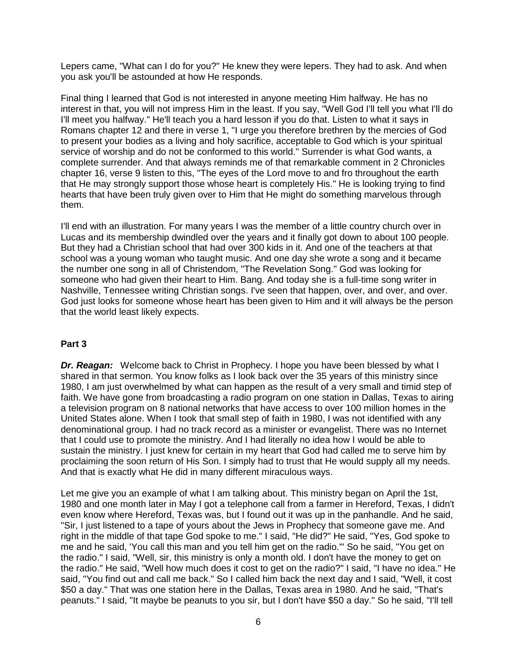Lepers came, "What can I do for you?" He knew they were lepers. They had to ask. And when you ask you'll be astounded at how He responds.

Final thing I learned that God is not interested in anyone meeting Him halfway. He has no interest in that, you will not impress Him in the least. If you say, "Well God I'll tell you what I'll do I'll meet you halfway." He'll teach you a hard lesson if you do that. Listen to what it says in Romans chapter 12 and there in verse 1, "I urge you therefore brethren by the mercies of God to present your bodies as a living and holy sacrifice, acceptable to God which is your spiritual service of worship and do not be conformed to this world." Surrender is what God wants, a complete surrender. And that always reminds me of that remarkable comment in 2 Chronicles chapter 16, verse 9 listen to this, "The eyes of the Lord move to and fro throughout the earth that He may strongly support those whose heart is completely His." He is looking trying to find hearts that have been truly given over to Him that He might do something marvelous through them.

I'll end with an illustration. For many years I was the member of a little country church over in Lucas and its membership dwindled over the years and it finally got down to about 100 people. But they had a Christian school that had over 300 kids in it. And one of the teachers at that school was a young woman who taught music. And one day she wrote a song and it became the number one song in all of Christendom, "The Revelation Song." God was looking for someone who had given their heart to Him. Bang. And today she is a full-time song writer in Nashville, Tennessee writing Christian songs. I've seen that happen, over, and over, and over. God just looks for someone whose heart has been given to Him and it will always be the person that the world least likely expects.

#### **Part 3**

*Dr. Reagan:* Welcome back to Christ in Prophecy. I hope you have been blessed by what I shared in that sermon. You know folks as I look back over the 35 years of this ministry since 1980, I am just overwhelmed by what can happen as the result of a very small and timid step of faith. We have gone from broadcasting a radio program on one station in Dallas, Texas to airing a television program on 8 national networks that have access to over 100 million homes in the United States alone. When I took that small step of faith in 1980, I was not identified with any denominational group. I had no track record as a minister or evangelist. There was no Internet that I could use to promote the ministry. And I had literally no idea how I would be able to sustain the ministry. I just knew for certain in my heart that God had called me to serve him by proclaiming the soon return of His Son. I simply had to trust that He would supply all my needs. And that is exactly what He did in many different miraculous ways.

Let me give you an example of what I am talking about. This ministry began on April the 1st, 1980 and one month later in May I got a telephone call from a farmer in Hereford, Texas, I didn't even know where Hereford, Texas was, but I found out it was up in the panhandle. And he said, "Sir, I just listened to a tape of yours about the Jews in Prophecy that someone gave me. And right in the middle of that tape God spoke to me." I said, "He did?" He said, "Yes, God spoke to me and he said, 'You call this man and you tell him get on the radio.'" So he said, "You get on the radio." I said, "Well, sir, this ministry is only a month old. I don't have the money to get on the radio." He said, "Well how much does it cost to get on the radio?" I said, "I have no idea." He said, "You find out and call me back." So I called him back the next day and I said, "Well, it cost \$50 a day." That was one station here in the Dallas, Texas area in 1980. And he said, "That's peanuts." I said, "It maybe be peanuts to you sir, but I don't have \$50 a day." So he said, "I'll tell